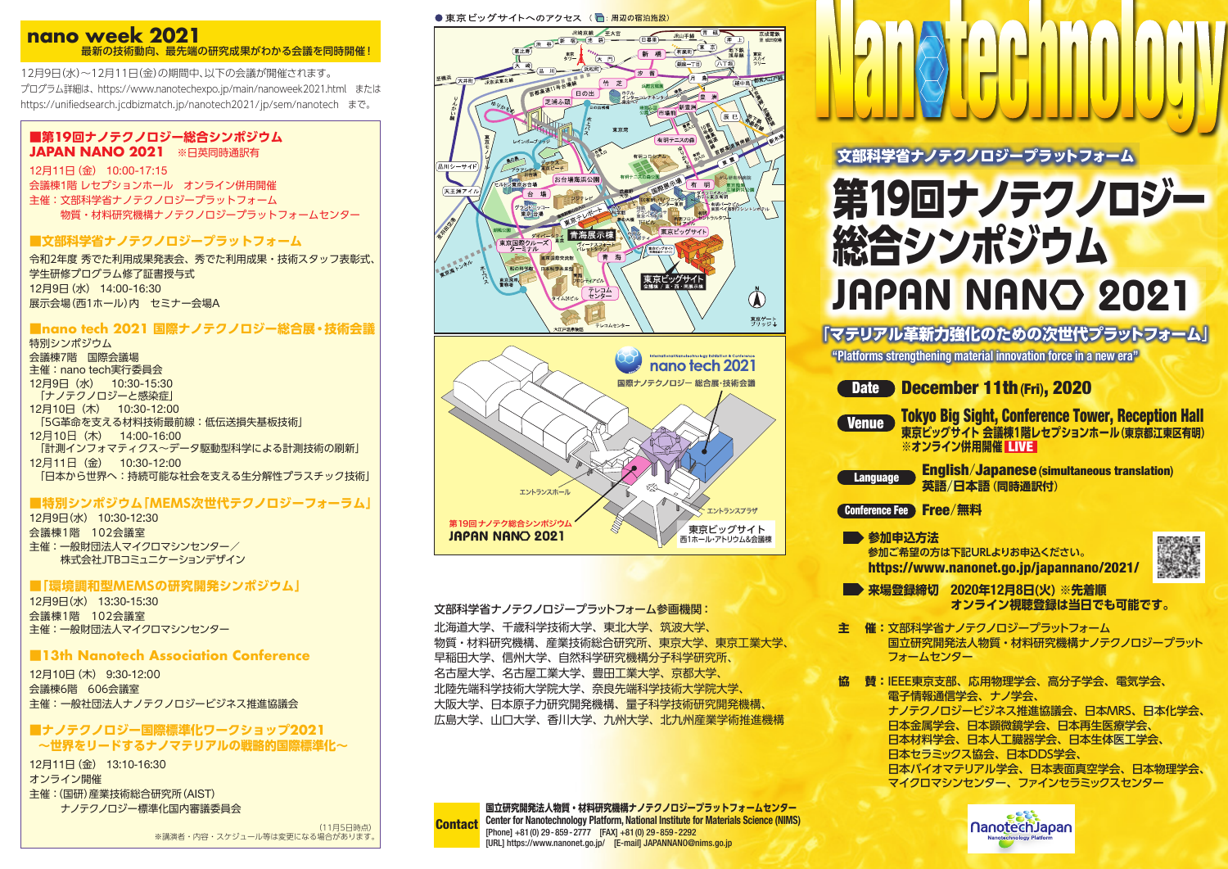# **nano week 2021** 最新の技術動向、最先端の研究成果がわかる会議を同時開催!

12月9日(水)~12月11日(金)の期間中、以下の会議が開催されます。 プログラム詳細は、https://www.nanotechexpo.jp/main/nanoweek2021.html または https://unifiedsearch.jcdbizmatch.jp/nanotech2021/jp/sem/nanotech まで。

# **■第19回ナノテクノロジー総合シンポジウム JAPAN NANO 2021** ※日英同時通訳有

12月11日(金) 10:00-17:15 会議棟1階 レセプションホール オンライン併用開催 主催:文部科学省ナノテクノロジープラットフォーム 物質・材料研究機構ナノテクノロジープラットフォームセンター

# **■文部科学省ナノテクノロジープラットフォーム**

12月9日(水) 14:00-16:30 令和2年度 秀でた利用成果発表会、秀でた利用成果・技術スタッフ表彰式、 学生研修プログラム修了証書授与式 展示会場(西1ホール)内 セミナー会場A

## **■nano tech 2021 国際ナノテクノロジー総合展・技術会議**

特別シンポジウム 会議棟7階 国際会議場 主催:nano tech実行委員会 12月9日(水) 10:30-15:30 「ナノテクノロジーと感染症」 12月10日(木) 10:30-12:00 「5G革命を支える材料技術最前線:低伝送損失基板技術」 12月10日(木) 14:00-16:00 「計測インフォマティクス~データ駆動型科学による計測技術の刷新」 12月11日(金) 10:30-12:00 「日本から世界へ:持続可能な社会を支える生分解性プラスチック技術」

# **■特別シンポジウム「MEMS次世代テクノロジーフォーラム」**

12月9日(水) 10:30-12:30 会議棟1階 102会議室 主催 : 一般財団法人マイクロマシンセンター/ 株式会社JTBコミュニケーションデザイン

## **■「環境調和型MEMSの研究開発シンポジウム」**

12月9日(水) 13:30-15:30 会議棟1階 102会議室 主催 : 一般財団法人マイクロマシンセンター

# **■13th Nanotech Association Conference**

12月10日(木) 9:30-12:00 会議棟6階 606会議室 主催:一般社団法人ナノテクノロジービジネス推進協議会

## **■ナノテクノロジー国際標準化ワークショップ2021 ~世界をリードするナノマテリアルの戦略的国際標準化~**

オンライン開催 主催:(国研)産業技術総合研究所(AIST) ナノテクノロジー標準化国内審議委員会 12月11日(金) 13:10-16:30

> (11月5日時点) ※講演者・内容・スケジュール等は変更になる場合があります







## 文部科学省ナノテクノロジープラットフォーム参画機関: 北海道大学、千歳科学技術大学、東北大学、筑波大学、 物質・材料研究機構、産業技術総合研究所、東京大学、東京工業大学、 早稲田大学、信州大学、自然科学研究機構分子科学研究所、 名古屋大学、名古屋工業大学、豊田工業大学、京都大学、 北陸先端科学技術大学院布学院大学。 大阪大学、日本原子力研究開発機構、量子科学技術研究開発機構、 広島大学、山口大学、香川大学、九州大学、北九州産業学術推進機構

**国立研究開発法人物質・材料研究機構ナノテクノロジープラットフォームセンター Center for Nanotechnology Platform, National Institute for Materials Science (NIMS)** [Phone] +81(0) 29-859-2777 [FAX] +81(0) 29-859-2292 [URL] https://www.nanonet.go.jp/ [E-mail] JAPANNANO@nims.go.jp **Contact** 

第19回ナノテクノロジー 総合シンポジウム 文部科学省ナノテクノロジープラットフォーム JAPAN NANO 2021

「マテリアル革新力強化のための次世代プラットフォーム」

**"Platforms strengthening material innovation force in a new era"**

| <b>Date</b>                                                                                                                | December 11th (Fri), 2020                                            |  |  |  |
|----------------------------------------------------------------------------------------------------------------------------|----------------------------------------------------------------------|--|--|--|
| <b>Tokyo Big Sight, Conference Tower, Reception Hall</b><br>Venue<br>東京ビッグサイト 会議棟1階レセプションホール (東京都江東区有明)<br>※オンライン併用開催 LIVE |                                                                      |  |  |  |
| <b>Language</b>                                                                                                            | <b>English/Japanese (simultaneous translation)</b><br>英語/日本語 (同時通訳付) |  |  |  |
| Conference Fee Free/無料                                                                                                     |                                                                      |  |  |  |
| ■▶参加申込方法<br>参加ご希望の方は下記URLよりお申込ください。<br>https://www.nanonet.go.jp/japannano/2021/                                           |                                                                      |  |  |  |

- **来場登録締切 2020年12月8日(火) ※先着順 オンライン視聴登録は当日でも可能です。**
- **主 催:**文部科学省ナノテクノロジープラットフォーム 国立研究開発法人物質・材料研究機構ナノテクノロジープラット フォームヤンター

**協 賛:**IEEE東京支部、応用物理学会、高分子学会、電気学会、 電子情報通信学会、ナノ学会、 ナノテクノロジービジネス推進協議会、日本MRS、日本化学会、 日本金属学会、日本顕微鏡学会、日本再生医療学会、 日本材料学会、日本人工臓器学会、日本生体医工学会、 日本セラミックス協会、日本DDS学会、 日本バイオマテリアル学会、日本表面真空学会、日本物理学会、 マイクロマシンセンター、ファインセラミックスセンター